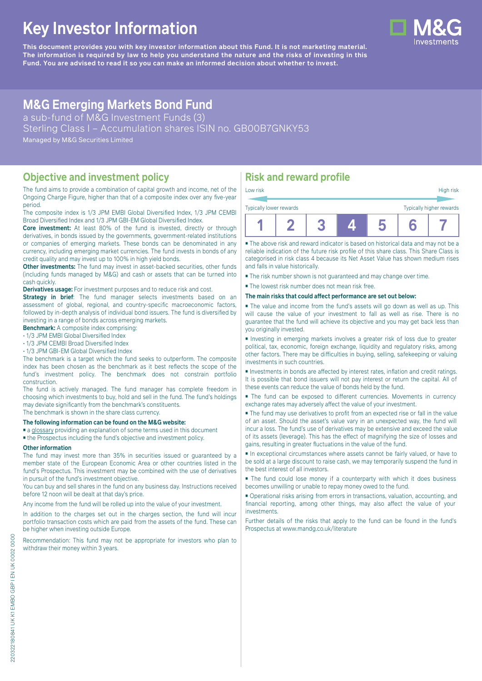# **Key Investor Information**

**This document provides you with key investor information about this Fund. It is not marketing material.** The information is required by law to help you understand the nature and the risks of investing in this **Fund. You are advised to read it so you can make an informed decision about whether to invest.**

# **M&G Emerging Markets Bond Fund**

a sub-fund of M&G Investment Funds (3)

Sterling Class I – Accumulation shares ISIN no. GB00B7GNKY53

Managed by M&G Securities Limited

### **Objective and investment policy**

The fund aims to provide a combination of capital growth and income, net of the Ongoing Charge Figure, higher than that of a composite index over any five-year period.

The composite index is 1/3 JPM EMBI Global Diversified Index, 1/3 JPM CEMBI Broad Diversified Index and 1/3 JPM GBI-EM Global Diversified Index.

**Core investment:** At least 80% of the fund is invested, directly or through derivatives, in bonds issued by the governments, government-related institutions or companies of emerging markets. These bonds can be denominated in any currency, including emerging market currencies. The fund invests in bonds of any credit quality and may invest up to 100% in high yield bonds.

**Other investments:** The fund may invest in asset-backed securities, other funds (including funds managed by M&G) and cash or assets that can be turned into cash quickly.

**Derivatives usage:** For investment purposes and to reduce risk and cost.

**Strategy in brief:** The fund manager selects investments based on an assessment of global, regional, and country-specific macroeconomic factors, followed by in-depth analysis of individual bond issuers. The fund is diversified by investing in a range of bonds across emerging markets.

**Benchmark:** A composite index comprising:

• 1/3 JPM EMBI Global Diversified Index

• 1/3 JPM CEMBI Broad Diversified Index

• 1/3 JPM GBI-EM Global Diversified Index

The benchmark is a target which the fund seeks to outperform. The composite index has been chosen as the benchmark as it best reflects the scope of the fund's investment policy. The benchmark does not constrain portfolio construction.

The fund is actively managed. The fund manager has complete freedom in choosing which investments to buy, hold and sell in the fund. The fund's holdings may deviate significantly from the benchmark's constituents. The benchmark is shown in the share class currency.

#### **The following information can be found on the M&G website:**

■ [a glossary](https://docs.mandg.com/docs/glossary-master-en.pdf) providing an explanation of some terms used in this document

■ the Prospectus including the fund's objective and investment policy.

#### **Other information**

The fund may invest more than 35% in securities issued or guaranteed by a member state of the European Economic Area or other countries listed in the fund's Prospectus. This investment may be combined with the use of derivatives in pursuit of the fund's investment objective.

You can buy and sell shares in the fund on any business day. Instructions received before 12 noon will be dealt at that day's price.

Any income from the fund will be rolled up into the value of your investment.

In addition to the charges set out in the charges section, the fund will incur portfolio transaction costs which are paid from the assets of the fund. These can be higher when investing outside Europe.

Recommendation: This fund may not be appropriate for investors who plan to withdraw their money within 3 years.

# **Risk and reward profile**

| Low risk                                            |  |  |  |  |  | High risk |
|-----------------------------------------------------|--|--|--|--|--|-----------|
| Typically higher rewards<br>Typically lower rewards |  |  |  |  |  |           |
|                                                     |  |  |  |  |  |           |

■ The above risk and reward indicator is based on historical data and may not be a reliable indication of the future risk profile of this share class. This Share Class is categorised in risk class 4 because its Net Asset Value has shown medium rises and falls in value historically.

■ The risk number shown is not guaranteed and may change over time.

■ The lowest risk number does not mean risk free.

#### **The main risks that could affect performance are set out below:**

■ The value and income from the fund's assets will go down as well as up. This will cause the value of your investment to fall as well as rise. There is no guarantee that the fund will achieve its objective and you may get back less than you originally invested.

■ Investing in emerging markets involves a greater risk of loss due to greater political, tax, economic, foreign exchange, liquidity and regulatory risks, among other factors. There may be difficulties in buying, selling, safekeeping or valuing investments in such countries.

■ Investments in bonds are affected by interest rates, inflation and credit ratings. It is possible that bond issuers will not pay interest or return the capital. All of these events can reduce the value of bonds held by the fund.

■ The fund can be exposed to different currencies. Movements in currency exchange rates may adversely affect the value of your investment.

■ The fund may use derivatives to profit from an expected rise or fall in the value of an asset. Should the asset's value vary in an unexpected way, the fund will incur a loss. The fund's use of derivatives may be extensive and exceed the value of its assets (leverage). This has the effect of magnifying the size of losses and gains, resulting in greater fluctuations in the value of the fund.

■ In exceptional circumstances where assets cannot be fairly valued, or have to be sold at a large discount to raise cash, we may temporarily suspend the fund in the best interest of all investors.

■ The fund could lose money if a counterparty with which it does business becomes unwilling or unable to repay money owed to the fund.

■ Operational risks arising from errors in transactions, valuation, accounting, and financial reporting, among other things, may also affect the value of your investments.

Further details of the risks that apply to the fund can be found in the fund's Prospectus at [www.mandg.co.uk/literature](http://www.mandg.co.uk/literature)